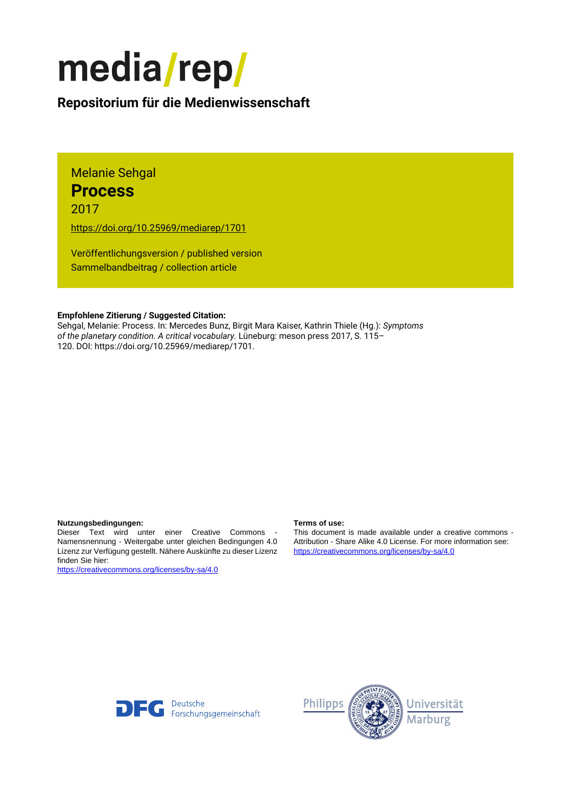# media/rep/

## **Repositorium für die [Medienwissenschaft](https://mediarep.org)**

Melanie Sehgal **Process**

2017

<https://doi.org/10.25969/mediarep/1701>

Veröffentlichungsversion / published version Sammelbandbeitrag / collection article

#### **Empfohlene Zitierung / Suggested Citation:**

Sehgal, Melanie: Process. In: Mercedes Bunz, Birgit Mara Kaiser, Kathrin Thiele (Hg.): *Symptoms of the planetary condition. A critical vocabulary.* Lüneburg: meson press 2017, S. 115– 120. DOI: https://doi.org/10.25969/mediarep/1701.

### **Nutzungsbedingungen: Terms of use:**

Dieser Text wird unter einer Creative Commons - Namensnennung - Weitergabe unter gleichen Bedingungen 4.0 Lizenz zur Verfügung gestellt. Nähere Auskünfte zu dieser Lizenz finden Sie hier:

<https://creativecommons.org/licenses/by-sa/4.0>

This document is made available under a creative commons - Attribution - Share Alike 4.0 License. For more information see: <https://creativecommons.org/licenses/by-sa/4.0>



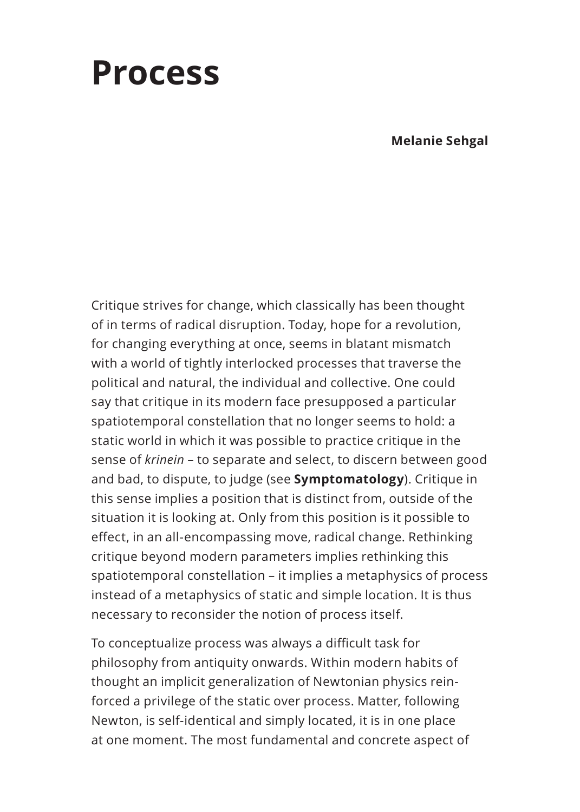# **Process**

**Melanie Sehgal**

Critique strives for change, which classically has been thought of in terms of radical disruption. Today, hope for a revolution, for changing everything at once, seems in blatant mismatch with a world of tightly interlocked processes that traverse the political and natural, the individual and collective. One could say that critique in its modern face presupposed a particular spatiotemporal constellation that no longer seems to hold: a static world in which it was possible to practice critique in the sense of *krinein* – to separate and select, to discern between good and bad, to dispute, to judge (see **Symptomatology**). Critique in this sense implies a position that is distinct from, outside of the situation it is looking at. Only from this position is it possible to effect, in an all-encompassing move, radical change. Rethinking critique beyond modern parameters implies rethinking this spatiotemporal constellation – it implies a metaphysics of process instead of a metaphysics of static and simple location. It is thus necessary to reconsider the notion of process itself.

To conceptualize process was always a difficult task for philosophy from antiquity onwards. Within modern habits of thought an implicit generalization of Newtonian physics reinforced a privilege of the static over process. Matter, following Newton, is self-identical and simply located, it is in one place at one moment. The most fundamental and concrete aspect of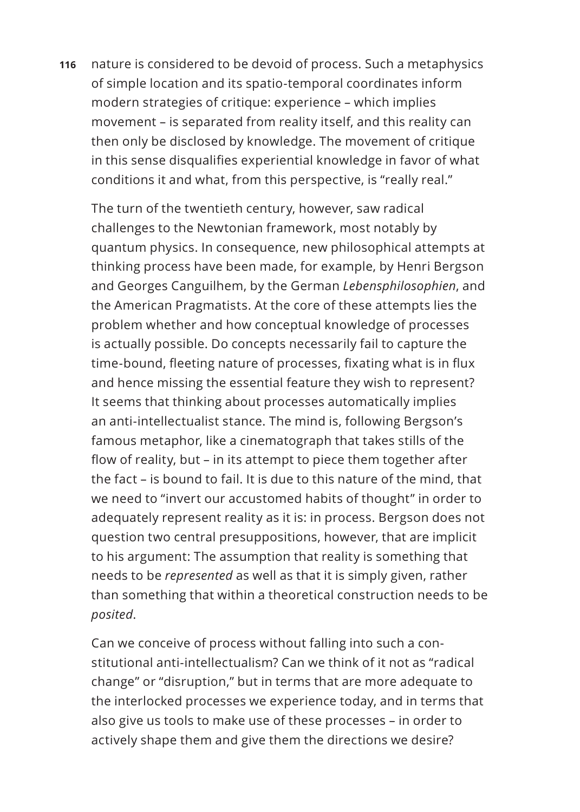**116** nature is considered to be devoid of process. Such a metaphysics of simple location and its spatio-temporal coordinates inform modern strategies of critique: experience – which implies movement – is separated from reality itself, and this reality can then only be disclosed by knowledge. The movement of critique in this sense disqualifies experiential knowledge in favor of what conditions it and what, from this perspective, is "really real."

The turn of the twentieth century, however, saw radical challenges to the Newtonian framework, most notably by quantum physics. In consequence, new philosophical attempts at thinking process have been made, for example, by Henri Bergson and Georges Canguilhem, by the German *Lebensphilosophien*, and the American Pragmatists. At the core of these attempts lies the problem whether and how conceptual knowledge of processes is actually possible. Do concepts necessarily fail to capture the time-bound, fleeting nature of processes, fixating what is in flux and hence missing the essential feature they wish to represent? It seems that thinking about processes automatically implies an anti-intellectualist stance. The mind is, following Bergson's famous metaphor, like a cinematograph that takes stills of the flow of reality, but – in its attempt to piece them together after the fact – is bound to fail. It is due to this nature of the mind, that we need to "invert our accustomed habits of thought" in order to adequately represent reality as it is: in process. Bergson does not question two central presuppositions, however, that are implicit to his argument: The assumption that reality is something that needs to be *represented* as well as that it is simply given, rather than something that within a theoretical construction needs to be *posited*.

Can we conceive of process without falling into such a constitutional anti-intellectualism? Can we think of it not as "radical change" or "disruption," but in terms that are more adequate to the interlocked processes we experience today, and in terms that also give us tools to make use of these processes – in order to actively shape them and give them the directions we desire?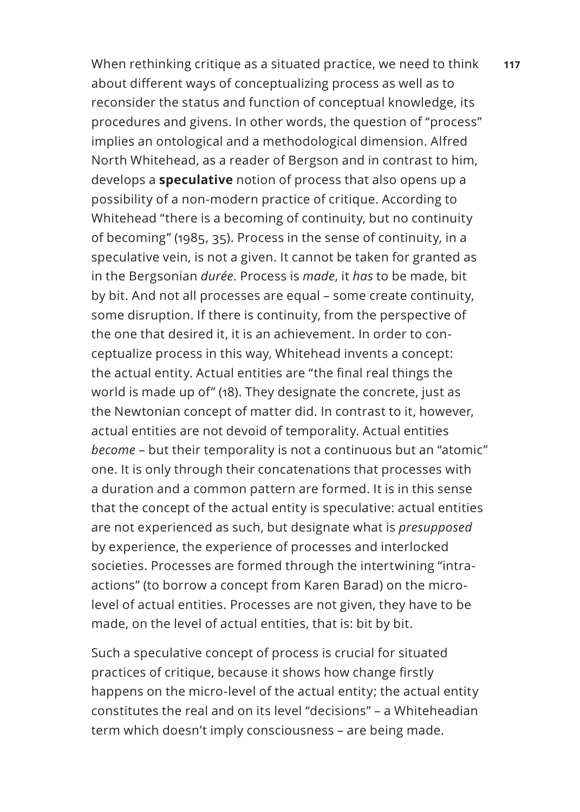When rethinking critique as a situated practice, we need to think **117** about different ways of conceptualizing process as well as to reconsider the status and function of conceptual knowledge, its procedures and givens. In other words, the question of "process" implies an ontological and a methodological dimension. Alfred North Whitehead, as a reader of Bergson and in contrast to him, develops a **speculative** notion of process that also opens up a possibility of a non-modern practice of critique. According to Whitehead "there is a becoming of continuity, but no continuity of becoming" (1985, 35). Process in the sense of continuity, in a speculative vein, is not a given. It cannot be taken for granted as in the Bergsonian *durée*. Process is *made*, it *has* to be made, bit by bit. And not all processes are equal – some create continuity, some disruption. If there is continuity, from the perspective of the one that desired it, it is an achievement. In order to conceptualize process in this way, Whitehead invents a concept: the actual entity. Actual entities are "the final real things the world is made up of" (18). They designate the concrete, just as the Newtonian concept of matter did. In contrast to it, however, actual entities are not devoid of temporality. Actual entities *become* – but their temporality is not a continuous but an "atomic" one. It is only through their concatenations that processes with a duration and a common pattern are formed. It is in this sense that the concept of the actual entity is speculative: actual entities are not experienced as such, but designate what is *presupposed* by experience, the experience of processes and interlocked societies. Processes are formed through the intertwining "intraactions" (to borrow a concept from Karen Barad) on the microlevel of actual entities. Processes are not given, they have to be made, on the level of actual entities, that is: bit by bit.

Such a speculative concept of process is crucial for situated practices of critique, because it shows how change firstly happens on the micro-level of the actual entity; the actual entity constitutes the real and on its level "decisions" – a Whiteheadian term which doesn't imply consciousness – are being made.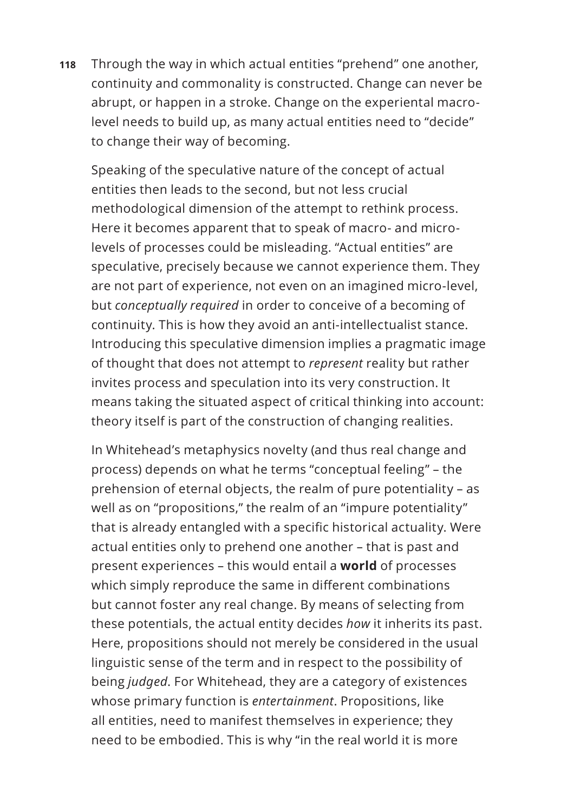**118** Through the way in which actual entities "prehend" one another, continuity and commonality is constructed. Change can never be abrupt, or happen in a stroke. Change on the experiental macrolevel needs to build up, as many actual entities need to "decide" to change their way of becoming.

Speaking of the speculative nature of the concept of actual entities then leads to the second, but not less crucial methodological dimension of the attempt to rethink process. Here it becomes apparent that to speak of macro- and microlevels of processes could be misleading. "Actual entities" are speculative, precisely because we cannot experience them. They are not part of experience, not even on an imagined micro-level, but *conceptually required* in order to conceive of a becoming of continuity. This is how they avoid an anti-intellectualist stance. Introducing this speculative dimension implies a pragmatic image of thought that does not attempt to *represent* reality but rather invites process and speculation into its very construction. It means taking the situated aspect of critical thinking into account: theory itself is part of the construction of changing realities.

In Whitehead's metaphysics novelty (and thus real change and process) depends on what he terms "conceptual feeling" – the prehension of eternal objects, the realm of pure potentiality – as well as on "propositions," the realm of an "impure potentiality" that is already entangled with a specific historical actuality. Were actual entities only to prehend one another – that is past and present experiences – this would entail a **world** of processes which simply reproduce the same in different combinations but cannot foster any real change. By means of selecting from these potentials, the actual entity decides *how* it inherits its past. Here, propositions should not merely be considered in the usual linguistic sense of the term and in respect to the possibility of being *judged*. For Whitehead, they are a category of existences whose primary function is *entertainment*. Propositions, like all entities, need to manifest themselves in experience; they need to be embodied. This is why "in the real world it is more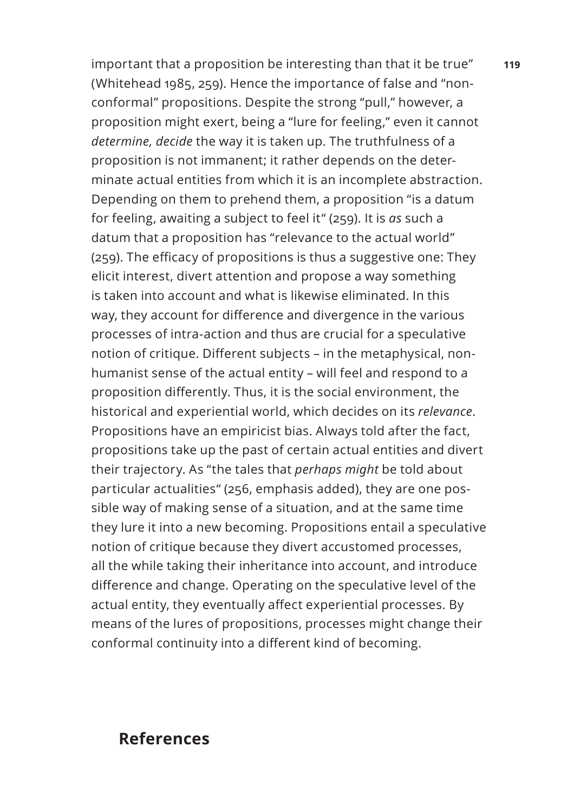important that a proposition be interesting than that it be true" **119** (Whitehead 1985, 259). Hence the importance of false and "nonconformal" propositions. Despite the strong "pull," however, a proposition might exert, being a "lure for feeling," even it cannot *determine, decide* the way it is taken up. The truthfulness of a proposition is not immanent; it rather depends on the determinate actual entities from which it is an incomplete abstraction. Depending on them to prehend them, a proposition "is a datum for feeling, awaiting a subject to feel it" (259). It is *as* such a datum that a proposition has "relevance to the actual world" (259). The efficacy of propositions is thus a suggestive one: They elicit interest, divert attention and propose a way something is taken into account and what is likewise eliminated. In this way, they account for difference and divergence in the various processes of intra-action and thus are crucial for a speculative notion of critique. Different subjects – in the metaphysical, nonhumanist sense of the actual entity – will feel and respond to a proposition differently. Thus, it is the social environment, the historical and experiential world, which decides on its *relevance*. Propositions have an empiricist bias. Always told after the fact, propositions take up the past of certain actual entities and divert their trajectory. As "the tales that *perhaps might* be told about particular actualities" (256, emphasis added), they are one possible way of making sense of a situation, and at the same time they lure it into a new becoming. Propositions entail a speculative notion of critique because they divert accustomed processes, all the while taking their inheritance into account, and introduce difference and change. Operating on the speculative level of the actual entity, they eventually affect experiential processes. By means of the lures of propositions, processes might change their conformal continuity into a different kind of becoming.

### **References**